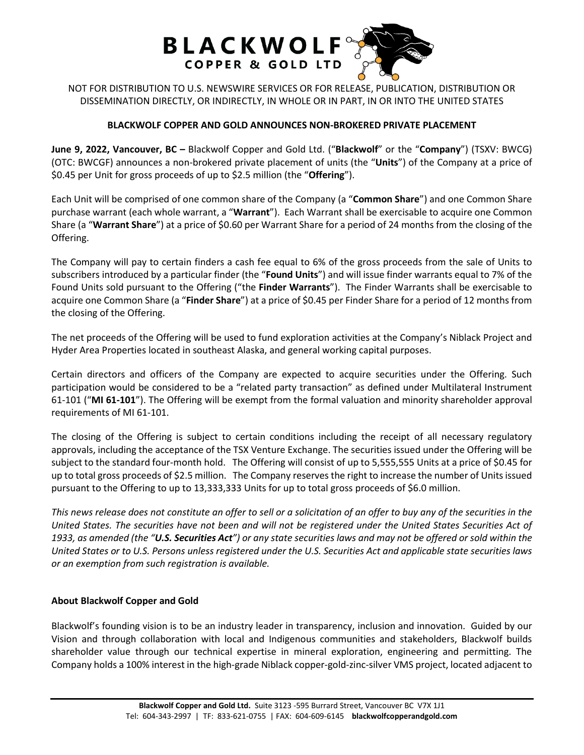

NOT FOR DISTRIBUTION TO U.S. NEWSWIRE SERVICES OR FOR RELEASE, PUBLICATION, DISTRIBUTION OR DISSEMINATION DIRECTLY, OR INDIRECTLY, IN WHOLE OR IN PART, IN OR INTO THE UNITED STATES

## **BLACKWOLF COPPER AND GOLD ANNOUNCES NON-BROKERED PRIVATE PLACEMENT**

**June 9, 2022, Vancouver, BC –** Blackwolf Copper and Gold Ltd. ("**Blackwolf**" or the "**Company**") (TSXV: BWCG) (OTC: BWCGF) announces a non-brokered private placement of units (the "**Units**") of the Company at a price of \$0.45 per Unit for gross proceeds of up to \$2.5 million (the "**Offering**").

Each Unit will be comprised of one common share of the Company (a "**Common Share**") and one Common Share purchase warrant (each whole warrant, a "**Warrant**"). Each Warrant shall be exercisable to acquire one Common Share (a "**Warrant Share**") at a price of \$0.60 per Warrant Share for a period of 24 months from the closing of the Offering.

The Company will pay to certain finders a cash fee equal to 6% of the gross proceeds from the sale of Units to subscribers introduced by a particular finder (the "**Found Units**") and will issue finder warrants equal to 7% of the Found Units sold pursuant to the Offering ("the **Finder Warrants**"). The Finder Warrants shall be exercisable to acquire one Common Share (a "**Finder Share**") at a price of \$0.45 per Finder Share for a period of 12 months from the closing of the Offering.

The net proceeds of the Offering will be used to fund exploration activities at the Company's Niblack Project and Hyder Area Properties located in southeast Alaska, and general working capital purposes.

Certain directors and officers of the Company are expected to acquire securities under the Offering. Such participation would be considered to be a "related party transaction" as defined under Multilateral Instrument 61-101 ("**MI 61-101**"). The Offering will be exempt from the formal valuation and minority shareholder approval requirements of MI 61-101.

The closing of the Offering is subject to certain conditions including the receipt of all necessary regulatory approvals, including the acceptance of the TSX Venture Exchange. The securities issued under the Offering will be subject to the standard four-month hold. The Offering will consist of up to 5,555,555 Units at a price of \$0.45 for up to total gross proceeds of \$2.5 million. The Company reserves the right to increase the number of Units issued pursuant to the Offering to up to 13,333,333 Units for up to total gross proceeds of \$6.0 million.

*This news release does not constitute an offer to sell or a solicitation of an offer to buy any of the securities in the United States. The securities have not been and will not be registered under the United States Securities Act of 1933, as amended (the "U.S. Securities Act") or any state securities laws and may not be offered or sold within the United States or to U.S. Persons unless registered under the U.S. Securities Act and applicable state securities laws or an exemption from such registration is available.*

## **About Blackwolf Copper and Gold**

Blackwolf's founding vision is to be an industry leader in transparency, inclusion and innovation. Guided by our Vision and through collaboration with local and Indigenous communities and stakeholders, Blackwolf builds shareholder value through our technical expertise in mineral exploration, engineering and permitting. The Company holds a 100% interest in the high-grade Niblack copper-gold-zinc-silver VMS project, located adjacent to